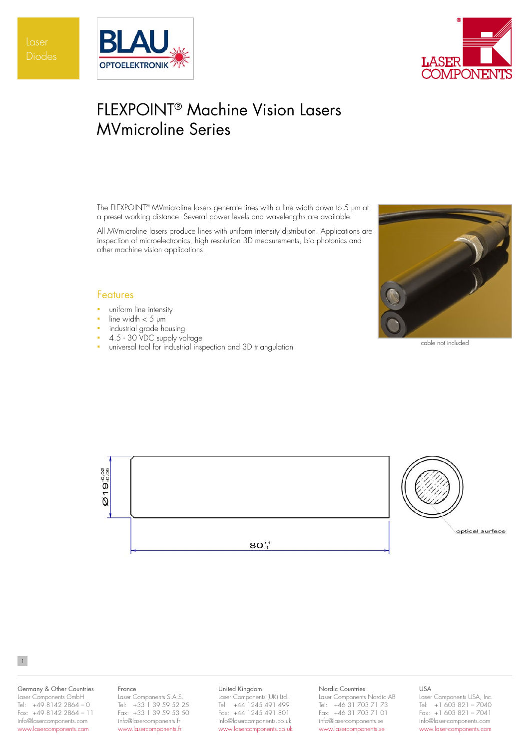



# FLEXPOINT® Machine Vision Lasers MVmicroline Series

The FLEXPOINT® MVmicroline lasers generate lines with a line width down to 5 µm at a preset working distance. Several power levels and wavelengths are available.

All MVmicroline lasers produce lines with uniform intensity distribution. Applications are inspection of microelectronics, high resolution 3D measurements, bio photonics and other machine vision applications.

# Features

- **•** uniform line intensity
- line width  $<$  5 µm
- industrial grade housing
- 4.5 30 VDC supply voltage
- universal tool for industrial inspection and 3D triangulation cable not included





### Germany & Other Countries Laser Components GmbH Tel: +49 8142 2864 – 0 Fax: +49 8142 2864 – 11 info@lasercomponents.com www.lasercomponents.com

1

### France

Laser Components S.A.S. Tel: +33 1 39 59 52 25 Fax: +33 1 39 59 53 50 info@lasercomponents.fr www.lasercomponents.fr

### United Kingdom

Laser Components (UK) Ltd. Tel: +44 1245 491 499 Fax: +44 1245 491 801 info@lasercomponents.co.uk www.lasercomponents.co.uk

#### Nordic Countries

Laser Components Nordic AB Tel: +46 31 703 71 73 Fax: +46 31 703 71 01 info@lasercomponents.se www.lasercomponents.se

# USA

Laser Components USA, Inc. Tel: +1 603 821 – 7040 Fax: +1 603 821 – 7041 info@laser-components.com www.laser-components.com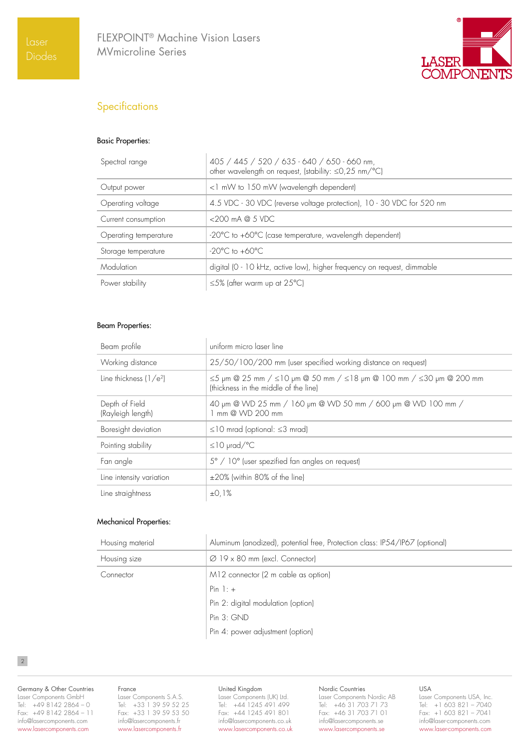

# **Specifications**

# Basic Properties:

| Spectral range        | 405 / 445 / 520 / 635 - 640 / 650 - 660 nm,<br>other wavelength on request, (stability: ≤0,25 nm/°C) |
|-----------------------|------------------------------------------------------------------------------------------------------|
| Output power          | <1 mW to 150 mW (wavelength dependent)                                                               |
| Operating voltage     | 4.5 VDC - 30 VDC (reverse voltage protection), 10 - 30 VDC for 520 nm                                |
| Current consumption   | $<$ 200 mA $@$ 5 VDC                                                                                 |
| Operating temperature | -20°C to +60°C (case temperature, wavelength dependent)                                              |
| Storage temperature   | $-20^{\circ}$ C to $+60^{\circ}$ C                                                                   |
| Modulation            | digital (0 - 10 kHz, active low), higher frequency on request, dimmable                              |
| Power stability       | $\leq$ 5% (after warm up at 25°C)                                                                    |

# Beam Properties:

| Beam profile                        | uniform micro laser line                                                                                                            |
|-------------------------------------|-------------------------------------------------------------------------------------------------------------------------------------|
| Working distance                    | 25/50/100/200 mm (user specified working distance on request)                                                                       |
| Line thickness $(1/e^2)$            | $\leq$ 5 µm @ 25 mm / $\leq$ 10 µm @ 50 mm / $\leq$ 18 µm @ 100 mm / $\leq$ 30 µm @ 200 mm<br>(thickness in the middle of the line) |
| Depth of Field<br>(Rayleigh length) | 40 µm @ WD 25 mm / 160 µm @ WD 50 mm / 600 µm @ WD 100 mm /<br>mm @ WD 200 mm                                                       |
| Boresight deviation                 | $\leq$ 10 mrad (optional: $\leq$ 3 mrad)                                                                                            |
| Pointing stability                  | $\leq$ 10 µrad/°C                                                                                                                   |
| Fan angle                           | 5° / 10° (user spezified fan angles on request)                                                                                     |
| Line intensity variation            | ±20% (within 80% of the line)                                                                                                       |
| Line straightness                   | ±0.1%                                                                                                                               |

# Mechanical Properties:

| Housing material | Aluminum (anodized), potential free, Protection class: IP54/IP67 (optional) |
|------------------|-----------------------------------------------------------------------------|
| Housing size     | $\varnothing$ 19 x 80 mm (excl. Connector)                                  |
| Connector        | M12 connector (2 m cable as option)                                         |
|                  | Pin $1: +$                                                                  |
|                  | Pin 2: digital modulation (option)                                          |
|                  | Pin 3: GND                                                                  |
|                  | Pin 4: power adjustment (option)                                            |

2

Germany & Other Countries Laser Components GmbH Tel: +49 8142 2864 – 0 Fax: +49 8142 2864 – 11 info@lasercomponents.com www.lasercomponents.com

#### France

Laser Components S.A.S. Tel: +33 1 39 59 52 25 Fax: +33 1 39 59 53 50 info@lasercomponents.fr www.lasercomponents.fr

## United Kingdom

Laser Components (UK) Ltd. Tel: +44 1245 491 499 Fax: +44 1245 491 801 info@lasercomponents.co.uk www.lasercomponents.co.uk

### Nordic Countries

Laser Components Nordic AB Tel: +46 31 703 71 73 Fax: +46 31 703 71 01 info@lasercomponents.se www.lasercomponents.se

USA

Laser Components USA, Inc. Tel: +1 603 821 – 7040 Fax: +1 603 821 – 7041 info@laser-components.com www.laser-components.com